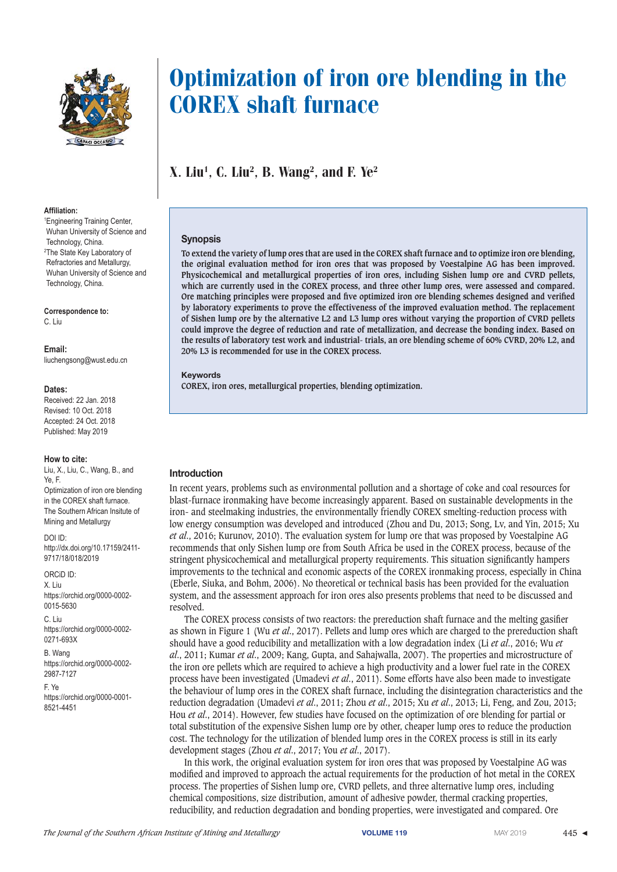

#### $Affiliation$

1 Engineering Training Center, Wuhan University of Science and Technology, China. <sup>2</sup>The State Key Laboratory of Refractories and Metallurgy, Wuhan University of Science and Technology, China.

Correspondence to: C. Liu

Email:

liuchengsong@wust.edu.cn

## Dates:

Received: 22 Jan. 2018 Revised: 10 Oct. 2018 Accepted: 24 Oct. 2018 Published: May 2019

## **How to cite:**

Liu, X., Liu, C., Wang, B., and Ye, F. Optimization of iron ore blending in the COREX shaft furnace. The Southern African Insitute of Mining and Metallurgy

DOI ID: http://dx.doi.org/10.17159/2411- 9717/18/018/2019

#### ORCiD ID: X. Liu https://orchid.org/0000-0002- 0015-5630

C. Liu https://orchid.org/0000-0002- 0271-693X

B. Wang https://orchid.org/0000-0002- 2987-7127

F. Ye https://orchid.org/0000-0001- 8521-4451

# Optimization of iron ore blending in the COREX shaft furnace

X. Liu<sup>1</sup>, C. Liu<sup>2</sup>, B. Wang<sup>2</sup>, and F. Ye<sup>2</sup>

# **Synopsis**

**To extend the variety of lump ores that are used in the COREX shaft furnace and to optimize iron ore blending, the original evaluation method for iron ores that was proposed by Voestalpine AG has been improved. Physicochemical and metallurgical properties of iron ores, including Sishen lump ore and CVRD pellets, which are currently used in the COREX process, and three other lump ores, were assessed and compared. Ore matching principles were proposed and five optimized iron ore blending schemes designed and verified by laboratory experiments to prove the effectiveness of the improved evaluation method. The replacement of Sishen lump ore by the alternative L2 and L3 lump ores without varying the proportion of CVRD pellets could improve the degree of reduction and rate of metallization, and decrease the bonding index. Based on the results of laboratory test work and industrial- trials, an ore blending scheme of 60% CVRD, 20% L2, and 20% L3 is recommended for use in the COREX process.**

**Keywords**

**COREX, iron ores, metallurgical properties, blending optimization.**

# **Introduction**

In recent years, problems such as environmental pollution and a shortage of coke and coal resources for blast-furnace ironmaking have become increasingly apparent. Based on sustainable developments in the iron- and steelmaking industries, the environmentally friendly COREX smelting-reduction process with low energy consumption was developed and introduced (Zhou and Du, 2013; Song, Lv, and Yin, 2015; Xu *et al*., 2016; Kurunov, 2010). The evaluation system for lump ore that was proposed by Voestalpine AG recommends that only Sishen lump ore from South Africa be used in the COREX process, because of the stringent physicochemical and metallurgical property requirements. This situation significantly hampers improvements to the technical and economic aspects of the COREX ironmaking process, especially in China (Eberle, Siuka, and Bohm, 2006). No theoretical or technical basis has been provided for the evaluation system, and the assessment approach for iron ores also presents problems that need to be discussed and resolved.

The COREX process consists of two reactors: the prereduction shaft furnace and the melting gasifier as shown in Figure 1 (Wu *et al*., 2017). Pellets and lump ores which are charged to the prereduction shaft should have a good reducibility and metallization with a low degradation index (Li *et al*., 2016; Wu *et al*., 2011; Kumar *et al*., 2009; Kang, Gupta, and Sahajwalla, 2007). The properties and microstructure of the iron ore pellets which are required to achieve a high productivity and a lower fuel rate in the COREX process have been investigated (Umadevi *et al*., 2011). Some efforts have also been made to investigate the behaviour of lump ores in the COREX shaft furnace, including the disintegration characteristics and the reduction degradation (Umadevi *et al*., 2011; Zhou *et al*., 2015; Xu *et al*., 2013; Li, Feng, and Zou, 2013; Hou *et al*., 2014). However, few studies have focused on the optimization of ore blending for partial or total substitution of the expensive Sishen lump ore by other, cheaper lump ores to reduce the production cost. The technology for the utilization of blended lump ores in the COREX process is still in its early development stages (Zhou *et al*., 2017; You *et al*., 2017).

In this work, the original evaluation system for iron ores that was proposed by Voestalpine AG was modified and improved to approach the actual requirements for the production of hot metal in the COREX process. The properties of Sishen lump ore, CVRD pellets, and three alternative lump ores, including chemical compositions, size distribution, amount of adhesive powder, thermal cracking properties, reducibility, and reduction degradation and bonding properties, were investigated and compared. Ore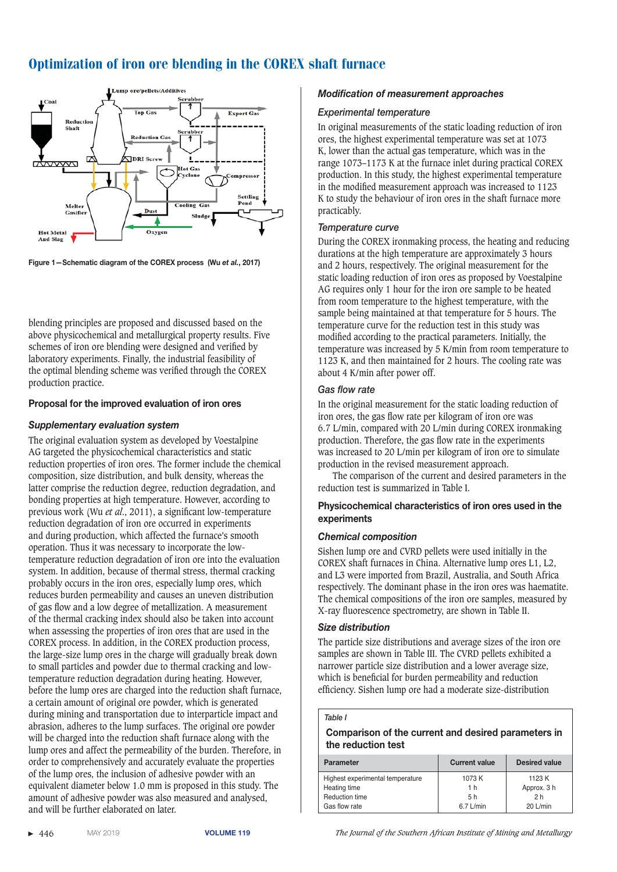

Figure 1-Schematic diagram of the COREX process (Wu et al., 2017)

blending principles are proposed and discussed based on the above physicochemical and metallurgical property results. Five schemes of iron ore blending were designed and verified by laboratory experiments. Finally, the industrial feasibility of the optimal blending scheme was verified through the COREX production practice.

# **Proposal for the improved evaluation of iron ores**

# *Supplementary evaluation system*

The original evaluation system as developed by Voestalpine AG targeted the physicochemical characteristics and static reduction properties of iron ores. The former include the chemical composition, size distribution, and bulk density, whereas the latter comprise the reduction degree, reduction degradation, and bonding properties at high temperature. However, according to previous work (Wu *et al*., 2011), a significant low-temperature reduction degradation of iron ore occurred in experiments and during production, which affected the furnace's smooth operation. Thus it was necessary to incorporate the lowtemperature reduction degradation of iron ore into the evaluation system. In addition, because of thermal stress, thermal cracking probably occurs in the iron ores, especially lump ores, which reduces burden permeability and causes an uneven distribution of gas flow and a low degree of metallization. A measurement of the thermal cracking index should also be taken into account when assessing the properties of iron ores that are used in the COREX process. In addition, in the COREX production process, the large-size lump ores in the charge will gradually break down to small particles and powder due to thermal cracking and lowtemperature reduction degradation during heating. However, before the lump ores are charged into the reduction shaft furnace, a certain amount of original ore powder, which is generated during mining and transportation due to interparticle impact and abrasion, adheres to the lump surfaces. The original ore powder will be charged into the reduction shaft furnace along with the lump ores and affect the permeability of the burden. Therefore, in order to comprehensively and accurately evaluate the properties of the lump ores, the inclusion of adhesive powder with an equivalent diameter below 1.0 mm is proposed in this study. The amount of adhesive powder was also measured and analysed, and will be further elaborated on later.

# *Modification of measurement approaches*

## *Experimental temperature*

In original measurements of the static loading reduction of iron ores, the highest experimental temperature was set at 1073 K, lower than the actual gas temperature, which was in the range 1073–1173 K at the furnace inlet during practical COREX production. In this study, the highest experimental temperature in the modified measurement approach was increased to 1123 K to study the behaviour of iron ores in the shaft furnace more practicably.

# *Temperature curve*

During the COREX ironmaking process, the heating and reducing durations at the high temperature are approximately 3 hours and 2 hours, respectively. The original measurement for the static loading reduction of iron ores as proposed by Voestalpine AG requires only 1 hour for the iron ore sample to be heated from room temperature to the highest temperature, with the sample being maintained at that temperature for 5 hours. The temperature curve for the reduction test in this study was modified according to the practical parameters. Initially, the temperature was increased by 5 K/min from room temperature to 1123 K, and then maintained for 2 hours. The cooling rate was about 4 K/min after power off.

# **Gas flow rate**

In the original measurement for the static loading reduction of iron ores, the gas flow rate per kilogram of iron ore was 6.7 L/min, compared with 20 L/min during COREX ironmaking production. Therefore, the gas flow rate in the experiments was increased to 20 L/min per kilogram of iron ore to simulate production in the revised measurement approach.

The comparison of the current and desired parameters in the reduction test is summarized in Table I.

# **Physicochemical characteristics of iron ores used in the experiments**

## **Chemical composition**

Sishen lump ore and CVRD pellets were used initially in the COREX shaft furnaces in China. Alternative lump ores L1, L2, and L3 were imported from Brazil, Australia, and South Africa respectively. The dominant phase in the iron ores was haematite. The chemical compositions of the iron ore samples, measured by X-ray fluorescence spectrometry, are shown in Table II.

## *Size distribution*

The particle size distributions and average sizes of the iron ore samples are shown in Table III. The CVRD pellets exhibited a narrower particle size distribution and a lower average size, which is beneficial for burden permeability and reduction efficiency. Sishen lump ore had a moderate size-distribution

## *Table I*

 **Comparison of the current and desired parameters in the reduction test**

| <b>Parameter</b>                 | <b>Current value</b> | <b>Desired value</b> |
|----------------------------------|----------------------|----------------------|
| Highest experimental temperature | 1073K                | 1123 K               |
| Heating time                     | 1 h                  | Approx. 3 h          |
| Reduction time                   | 5h                   | 2 h                  |
| Gas flow rate                    | $6.7$ L/min          | $20$ L/min           |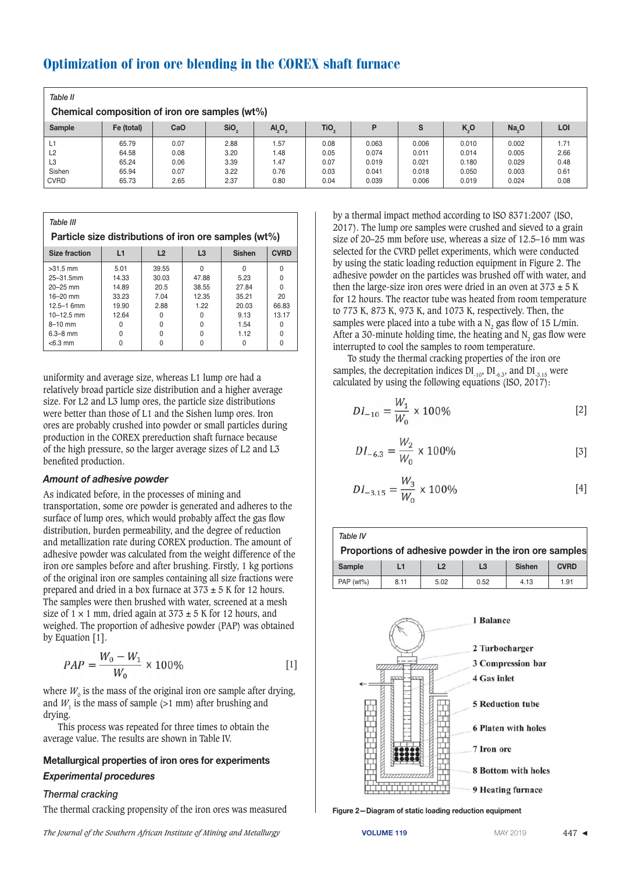| Table II<br>Chemical composition of iron ore samples (wt%) |            |      |                  |                                |                  |       |       |                  |                   |      |
|------------------------------------------------------------|------------|------|------------------|--------------------------------|------------------|-------|-------|------------------|-------------------|------|
| Sample                                                     | Fe (total) | CaO  | SiO <sub>2</sub> | AI <sub>2</sub> O <sub>3</sub> | TiO <sub>2</sub> | D     | S     | K <sub>2</sub> O | Na <sub>2</sub> O | LOI  |
| L1                                                         | 65.79      | 0.07 | 2.88             | 1.57                           | 0.08             | 0.063 | 0.006 | 0.010            | 0.002             | 1.71 |
| L2                                                         | 64.58      | 0.08 | 3.20             | 1.48                           | 0.05             | 0.074 | 0.011 | 0.014            | 0.005             | 2.66 |
| L <sub>3</sub>                                             | 65.24      | 0.06 | 3.39             | 1.47                           | 0.07             | 0.019 | 0.021 | 0.180            | 0.029             | 0.48 |
| Sishen                                                     | 65.94      | 0.07 | 3.22             | 0.76                           | 0.03             | 0.041 | 0.018 | 0.050            | 0.003             | 0.61 |
| <b>CVRD</b>                                                | 65.73      | 2.65 | 2.37             | 0.80                           | 0.04             | 0.039 | 0.006 | 0.019            | 0.024             | 0.08 |

| Table III                                                              |          |       |       |       |       |  |  |  |
|------------------------------------------------------------------------|----------|-------|-------|-------|-------|--|--|--|
| Particle size distributions of iron ore samples (wt%)                  |          |       |       |       |       |  |  |  |
| <b>CVRD</b><br>L1<br>L2<br>L3<br><b>Sishen</b><br><b>Size fraction</b> |          |       |       |       |       |  |  |  |
| $>31.5$ mm                                                             | 5.01     | 39.55 | 0     |       |       |  |  |  |
| $25 - 31.5$ mm                                                         | 14.33    | 30.03 | 47.88 | 5.23  |       |  |  |  |
| $20 - 25$ mm                                                           | 14.89    | 20.5  | 38.55 | 27.84 |       |  |  |  |
| $16 - 20$ mm                                                           | 33.23    | 7.04  | 12.35 | 35.21 | 20    |  |  |  |
| $12.5 - 1$ 6mm                                                         | 19.90    | 2.88  | 1.22  | 20.03 | 66.83 |  |  |  |
| $10 - 12.5$ mm                                                         | 12.64    | 0     | O     | 9.13  | 13.17 |  |  |  |
| $8-10$ mm                                                              | O        | 0     | O     | 1.54  |       |  |  |  |
| $6.3 - 8$ mm                                                           | $\Omega$ | 0     | 0     | 1.12  |       |  |  |  |
| $< 6.3$ mm                                                             | 0        | 0     | 0     |       |       |  |  |  |

uniformity and average size, whereas L1 lump ore had a relatively broad particle size distribution and a higher average size. For L2 and L3 lump ores, the particle size distributions were better than those of L1 and the Sishen lump ores. Iron ores are probably crushed into powder or small particles during production in the COREX prereduction shaft furnace because of the high pressure, so the larger average sizes of L2 and L3 benefited production.

## **Amount of adhesive powder**

As indicated before, in the processes of mining and transportation, some ore powder is generated and adheres to the surface of lump ores, which would probably affect the gas flow distribution, burden permeability, and the degree of reduction and metallization rate during COREX production. The amount of adhesive powder was calculated from the weight difference of the iron ore samples before and after brushing. Firstly, 1 kg portions of the original iron ore samples containing all size fractions were prepared and dried in a box furnace at  $373 \pm 5$  K for 12 hours. The samples were then brushed with water, screened at a mesh size of  $1 \times 1$  mm, dried again at  $373 \pm 5$  K for 12 hours, and weighed. The proportion of adhesive powder (PAP) was obtained by Equation [1].

$$
PAP = \frac{W_0 - W_1}{W_0} \times 100\%
$$
 [1]

where  $W_0$  is the mass of the original iron ore sample after drying, and  $W$ , is the mass of sample  $(>1$  mm) after brushing and drying.

This process was repeated for three times to obtain the average value. The results are shown in Table IV.

# **Metallurgical properties of iron ores for experiments** *Experimental procedures*

# *Thermal cracking*

The thermal cracking propensity of the iron ores was measured

by a thermal impact method according to ISO 8371:2007 (ISO, 2017). The lump ore samples were crushed and sieved to a grain size of 20–25 mm before use, whereas a size of 12.5–16 mm was selected for the CVRD pellet experiments, which were conducted by using the static loading reduction equipment in Figure 2. The adhesive powder on the particles was brushed off with water, and then the large-size iron ores were dried in an oven at  $373 \pm 5$  K for 12 hours. The reactor tube was heated from room temperature to 773 K, 873 K, 973 K, and 1073 K, respectively. Then, the samples were placed into a tube with a  $N<sub>2</sub>$  gas flow of 15 L/min. After a  $30$ -minute holding time, the heating and N<sub>2</sub> gas flow were interrupted to cool the samples to room temperature.

To study the thermal cracking properties of the iron ore samples, the decrepitation indices  $DI_{-10}$ ,  $DI_{-6.3}$ , and  $DI_{-3.15}$  were calculated by using the following equations (ISO, 2017):

$$
DI_{-10} = \frac{W_1}{W_0} \times 100\%
$$
 [2]

$$
DI_{-6.3} = \frac{W_2}{W_0} \times 100\%
$$
 [3]

$$
DI_{-3.15} = \frac{W_3}{W_0} \times 100\%
$$
 [4]

 *Table IV*  **Proportions of adhesive powder in the iron ore samples Sample L1 L2 L3 Sishen CVRD** PAP (wt%) 8.11 5.02 0.52 4.13 1.91



Figure 2-Diagram of static loading reduction equipment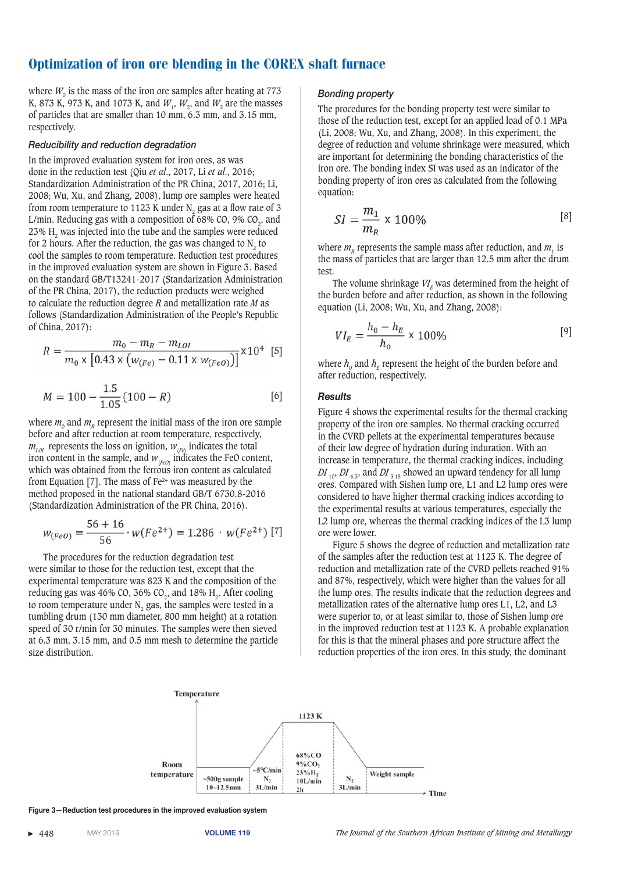where  $W_0$  is the mass of the iron ore samples after heating at 773 K, 873 K, 973 K, and 1073 K, and  $W_1$ ,  $W_2$ , and  $W_3$  are the masses of particles that are smaller than 10 mm, 6.3 mm, and 3.15 mm, respectively.

#### *Reducibility and reduction degradation*

In the improved evaluation system for iron ores, as was done in the reduction test (Qiu *et al*., 2017, Li *et al*., 2016; Standardization Administration of the PR China, 2017, 2016; Li, 2008; Wu, Xu, and Zhang, 2008), lump ore samples were heated from room temperature to 1123 K under N<sub>2</sub> gas at a flow rate of 3 L/min. Reducing gas with a composition of 68% CO, 9% CO<sub>2</sub>, and 23% H<sub>2</sub> was injected into the tube and the samples were reduced for 2 hours. After the reduction, the gas was changed to  $N<sub>2</sub>$  to cool the samples to room temperature. Reduction test procedures in the improved evaluation system are shown in Figure 3. Based on the standard GB/T13241-2017 (Standarization Administration of the PR China, 2017), the reduction products were weighed to calculate the reduction degree *R* and metallization rate *M* as follows (Standardization Administration of the People's Republic of China, 2017):

$$
R = \frac{m_0 - m_R - m_{LOI}}{m_0 \times [0.43 \times (w_{(Fe)} - 0.11 \times w_{(FeO)})]} \times 10^4 \text{ [5]}
$$

$$
M = 100 - \frac{1.5}{1.05} (100 - R)
$$
 [6]

where  $m_0$  and  $m_R$  represent the initial mass of the iron ore sample before and after reduction at room temperature, respectively,  $m_{\text{LOI}}$  represents the loss on ignition,  $w_{\text{L}}$  indicates the total iron content in the sample, and  $W_{(FeO)}$  indicates the FeO content, which was obtained from the ferrous iron content as calculated from Equation [7]. The mass of  $Fe<sup>2+</sup>$  was measured by the method proposed in the national standard GB/T 6730.8-2016 (Standardization Administration of the PR China, 2016).

$$
w_{(FeO)} = \frac{56 + 16}{56} \cdot w(Fe^{2+}) = 1.286 \cdot w(Fe^{2+})
$$
 [7]

The procedures for the reduction degradation test were similar to those for the reduction test, except that the experimental temperature was 823 K and the composition of the reducing gas was  $46\%$  CO,  $36\%$  CO<sub>2</sub>, and  $18\%$  H<sub>2</sub>. After cooling to room temperature under  $N_2$  gas, the samples were tested in a tumbling drum (130 mm diameter, 800 mm height) at a rotation speed of 30 r/min for 30 minutes. The samples were then sieved at 6.3 mm, 3.15 mm, and 0.5 mm mesh to determine the particle size distribution.

#### **Bonding property**

The procedures for the bonding property test were similar to those of the reduction test, except for an applied load of 0.1 MPa (Li, 2008; Wu, Xu, and Zhang, 2008). In this experiment, the degree of reduction and volume shrinkage were measured, which are important for determining the bonding characteristics of the iron ore. The bonding index SI was used as an indicator of the bonding property of iron ores as calculated from the following equation:

$$
SI = \frac{m_1}{m_R} \times 100\%
$$
 [8]

where  $m<sub>n</sub>$  represents the sample mass after reduction, and  $m<sub>1</sub>$  is the mass of particles that are larger than 12.5 mm after the drum test.

The volume shrinkage  $VI<sub>F</sub>$  was determined from the height of the burden before and after reduction, as shown in the following equation (Li, 2008; Wu, Xu, and Zhang, 2008):

$$
VI_E = \frac{h_0 - h_E}{h_0} \times 100\%
$$
 [9]

where  $h_0$  and  $h_F$  represent the height of the burden before and after reduction, respectively.

## *Results*

Figure 4 shows the experimental results for the thermal cracking property of the iron ore samples. No thermal cracking occurred in the CVRD pellets at the experimental temperatures because of their low degree of hydration during induration. With an increase in temperature, the thermal cracking indices, including  $DI_{-10}$ ,  $DI_{-6,3}$ , and  $DI_{-3,15}$  showed an upward tendency for all lump ores. Compared with Sishen lump ore, L1 and L2 lump ores were considered to have higher thermal cracking indices according to the experimental results at various temperatures, especially the L2 lump ore, whereas the thermal cracking indices of the L3 lump ore were lower.

Figure 5 shows the degree of reduction and metallization rate of the samples after the reduction test at 1123 K. The degree of reduction and metallization rate of the CVRD pellets reached 91% and 87%, respectively, which were higher than the values for all the lump ores. The results indicate that the reduction degrees and metallization rates of the alternative lump ores L1, L2, and L3 were superior to, or at least similar to, those of Sishen lump ore in the improved reduction test at 1123 K. A probable explanation for this is that the mineral phases and pore structure affect the reduction properties of the iron ores. In this study, the dominant



**Figure 3—Reduction test procedures in the improved evaluation system**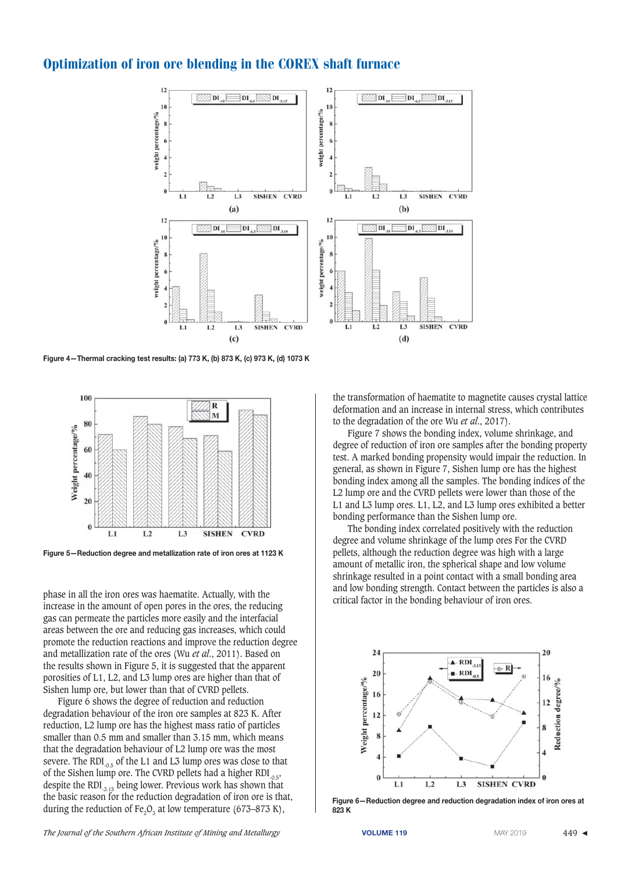

Figure 4-Thermal cracking test results: (a) 773 K, (b) 873 K, (c) 973 K, (d) 1073 K



Figure 5-Reduction degree and metallization rate of iron ores at 1123 K

phase in all the iron ores was haematite. Actually, with the increase in the amount of open pores in the ores, the reducing gas can permeate the particles more easily and the interfacial areas between the ore and reducing gas increases, which could promote the reduction reactions and improve the reduction degree and metallization rate of the ores (Wu *et al*., 2011). Based on the results shown in Figure 5, it is suggested that the apparent porosities of L1, L2, and L3 lump ores are higher than that of Sishen lump ore, but lower than that of CVRD pellets.

Figure 6 shows the degree of reduction and reduction degradation behaviour of the iron ore samples at 823 K. After reduction, L2 lump ore has the highest mass ratio of particles smaller than 0.5 mm and smaller than 3.15 mm, which means that the degradation behaviour of L2 lump ore was the most severe. The RDI $_{0.5}$  of the L1 and L3 lump ores was close to that of the Sishen lump ore. The CVRD pellets had a higher RDI $_{0.5}$ , despite the RDI $_{.3.15}$  being lower. Previous work has shown that the basic reason for the reduction degradation of iron ore is that, during the reduction of Fe<sub>2</sub>O<sub>3</sub> at low temperature (673–873 K),

The Journal of the Southern African Institute of Mining and Metallurgy **VOLUME 119** MAY 2019 MAY 2019 449 ◀

the transformation of haematite to magnetite causes crystal lattice deformation and an increase in internal stress, which contributes to the degradation of the ore Wu *et al*., 2017).

Figure 7 shows the bonding index, volume shrinkage, and degree of reduction of iron ore samples after the bonding property test. A marked bonding propensity would impair the reduction. In general, as shown in Figure 7, Sishen lump ore has the highest bonding index among all the samples. The bonding indices of the L2 lump ore and the CVRD pellets were lower than those of the L1 and L3 lump ores. L1, L2, and L3 lump ores exhibited a better bonding performance than the Sishen lump ore.

The bonding index correlated positively with the reduction degree and volume shrinkage of the lump ores For the CVRD pellets, although the reduction degree was high with a large amount of metallic iron, the spherical shape and low volume shrinkage resulted in a point contact with a small bonding area and low bonding strength. Contact between the particles is also a critical factor in the bonding behaviour of iron ores.



Figure 6-Reduction degree and reduction degradation index of iron ores at **823 K**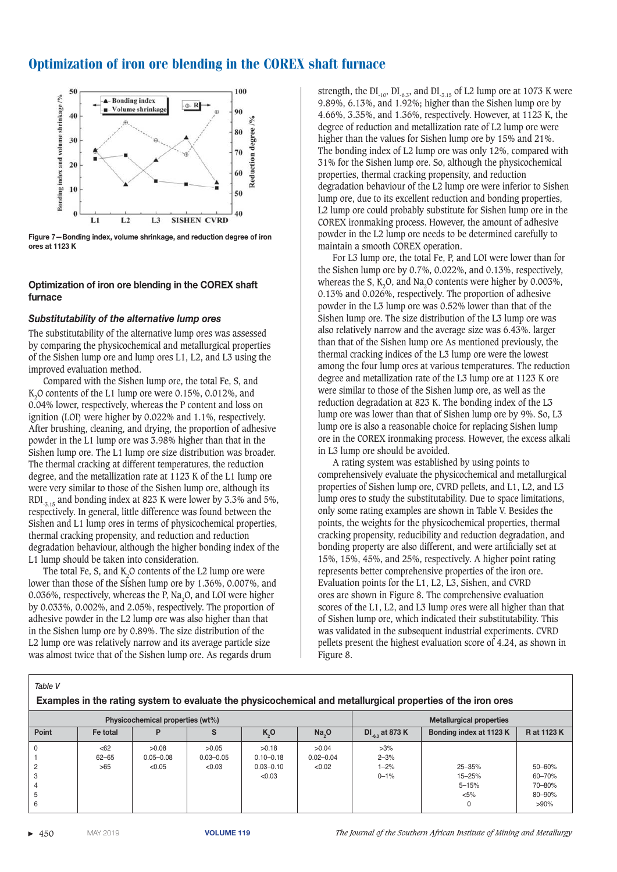

Figure 7-Bonding index, volume shrinkage, and reduction degree of iron **ores at 1123 K**

## **Optimization of iron ore blending in the COREX shaft furnace**

## Substitutability of the alternative lump ores

The substitutability of the alternative lump ores was assessed by comparing the physicochemical and metallurgical properties of the Sishen lump ore and lump ores L1, L2, and L3 using the improved evaluation method.

Compared with the Sishen lump ore, the total Fe, S, and K<sub>2</sub>O contents of the L1 lump ore were 0.15%, 0.012%, and 0.04% lower, respectively, whereas the P content and loss on ignition (LOI) were higher by 0.022% and 1.1%, respectively. After brushing, cleaning, and drying, the proportion of adhesive powder in the L1 lump ore was 3.98% higher than that in the Sishen lump ore. The L1 lump ore size distribution was broader. The thermal cracking at different temperatures, the reduction degree, and the metallization rate at 1123 K of the L1 lump ore were very similar to those of the Sishen lump ore, although its RDI<sub>-3.15</sub> and bonding index at 823 K were lower by 3.3% and 5%. respectively. In general, little difference was found between the Sishen and L1 lump ores in terms of physicochemical properties, thermal cracking propensity, and reduction and reduction degradation behaviour, although the higher bonding index of the L1 lump should be taken into consideration.

The total Fe, S, and  $K<sub>2</sub>O$  contents of the L2 lump ore were lower than those of the Sishen lump ore by 1.36%, 0.007%, and 0.036%, respectively, whereas the P, Na<sub>2</sub>O, and LOI were higher by 0.033%, 0.002%, and 2.05%, respectively. The proportion of adhesive powder in the L2 lump ore was also higher than that in the Sishen lump ore by 0.89%. The size distribution of the L2 lump ore was relatively narrow and its average particle size was almost twice that of the Sishen lump ore. As regards drum

strength, the DI<sub>-10</sub>, DI<sub>-6.3</sub>, and DI<sub>-3.15</sub> of L2 lump ore at 1073 K were 9.89%, 6.13%, and 1.92%; higher than the Sishen lump ore by 4.66%, 3.35%, and 1.36%, respectively. However, at 1123 K, the degree of reduction and metallization rate of L2 lump ore were higher than the values for Sishen lump ore by 15% and 21%. The bonding index of L2 lump ore was only 12%, compared with 31% for the Sishen lump ore. So, although the physicochemical properties, thermal cracking propensity, and reduction degradation behaviour of the L2 lump ore were inferior to Sishen lump ore, due to its excellent reduction and bonding properties, L2 lump ore could probably substitute for Sishen lump ore in the COREX ironmaking process. However, the amount of adhesive powder in the L2 lump ore needs to be determined carefully to maintain a smooth COREX operation.

For L3 lump ore, the total Fe, P, and LOI were lower than for the Sishen lump ore by 0.7%, 0.022%, and 0.13%, respectively, whereas the S, K<sub>2</sub>O, and Na<sub>2</sub>O contents were higher by  $0.003\%$ , 0.13% and 0.026%, respectively. The proportion of adhesive powder in the L3 lump ore was 0.52% lower than that of the Sishen lump ore. The size distribution of the L3 lump ore was also relatively narrow and the average size was 6.43%. larger than that of the Sishen lump ore As mentioned previously, the thermal cracking indices of the L3 lump ore were the lowest among the four lump ores at various temperatures. The reduction degree and metallization rate of the L3 lump ore at 1123 K ore were similar to those of the Sishen lump ore, as well as the reduction degradation at 823 K. The bonding index of the L3 lump ore was lower than that of Sishen lump ore by 9%. So, L3 lump ore is also a reasonable choice for replacing Sishen lump ore in the COREX ironmaking process. However, the excess alkali in L3 lump ore should be avoided.

A rating system was established by using points to comprehensively evaluate the physicochemical and metallurgical properties of Sishen lump ore, CVRD pellets, and L1, L2, and L3 lump ores to study the substitutability. Due to space limitations, only some rating examples are shown in Table V. Besides the points, the weights for the physicochemical properties, thermal cracking propensity, reducibility and reduction degradation, and bonding property are also different, and were artificially set at 15%, 15%, 45%, and 25%, respectively. A higher point rating represents better comprehensive properties of the iron ore. Evaluation points for the L1, L2, L3, Sishen, and CVRD ores are shown in Figure 8. The comprehensive evaluation scores of the L1, L2, and L3 lump ores were all higher than that of Sishen lump ore, which indicated their substitutability. This was validated in the subsequent industrial experiments. CVRD pellets present the highest evaluation score of 4.24, as shown in Figure 8.

 *Table V*

| Examples in the rating system to evaluate the physicochemical and metallurgical properties of the iron ores |                          |                                  |                                  |                                                   |                                  |                                            |                                                       |                                                 |
|-------------------------------------------------------------------------------------------------------------|--------------------------|----------------------------------|----------------------------------|---------------------------------------------------|----------------------------------|--------------------------------------------|-------------------------------------------------------|-------------------------------------------------|
| Physicochemical properties (wt%)                                                                            |                          |                                  |                                  |                                                   | <b>Metallurgical properties</b>  |                                            |                                                       |                                                 |
| Point                                                                                                       | Fe total                 |                                  |                                  | $K_0$                                             | $Na_0$                           | DI $_{\circ}$ at 873 K                     | Bonding index at 1123 K                               | R at 1123 K                                     |
| b.<br>6                                                                                                     | < 62<br>$62 - 65$<br>>65 | >0.08<br>$0.05 - 0.08$<br>< 0.05 | >0.05<br>$0.03 - 0.05$<br>< 0.03 | >0.18<br>$0.10 - 0.18$<br>$0.03 - 0.10$<br>< 0.03 | >0.04<br>$0.02 - 0.04$<br>< 0.02 | $>3\%$<br>$2 - 3%$<br>$1 - 2%$<br>$0 - 1%$ | $25 - 35%$<br>$15 - 25%$<br>$5 - 15%$<br>$< 5\%$<br>0 | 50-60%<br>60-70%<br>70-80%<br>80-90%<br>$>90\%$ |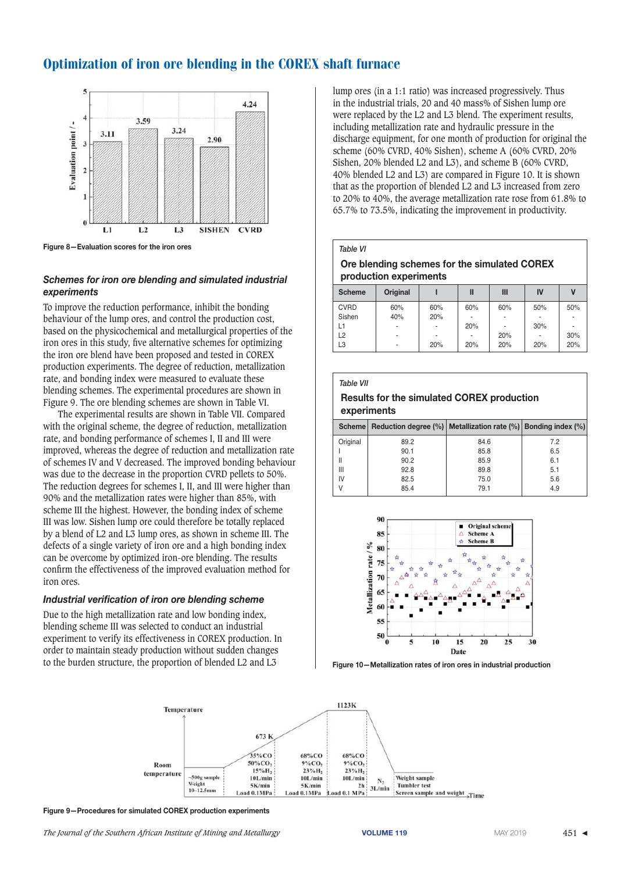

**Figure 8—Evaluation scores for the iron ores** 

# Schemes for *iron* ore blending and simulated industrial *experiments*

To improve the reduction performance, inhibit the bonding behaviour of the lump ores, and control the production cost, based on the physicochemical and metallurgical properties of the iron ores in this study, five alternative schemes for optimizing the iron ore blend have been proposed and tested in COREX production experiments. The degree of reduction, metallization rate, and bonding index were measured to evaluate these blending schemes. The experimental procedures are shown in Figure 9. The ore blending schemes are shown in Table VI.

The experimental results are shown in Table VII. Compared with the original scheme, the degree of reduction, metallization rate, and bonding performance of schemes I, II and III were improved, whereas the degree of reduction and metallization rate of schemes IV and V decreased. The improved bonding behaviour was due to the decrease in the proportion CVRD pellets to 50%. The reduction degrees for schemes I, II, and III were higher than 90% and the metallization rates were higher than 85%, with scheme III the highest. However, the bonding index of scheme III was low. Sishen lump ore could therefore be totally replaced by a blend of L2 and L3 lump ores, as shown in scheme III. The defects of a single variety of iron ore and a high bonding index can be overcome by optimized iron-ore blending. The results confirm the effectiveness of the improved evaluation method for iron ores.

## Industrial verification of iron ore blending scheme

Due to the high metallization rate and low bonding index, blending scheme III was selected to conduct an industrial experiment to verify its effectiveness in COREX production. In order to maintain steady production without sudden changes to the burden structure, the proportion of blended L2 and L3

lump ores (in a 1:1 ratio) was increased progressively. Thus in the industrial trials, 20 and 40 mass% of Sishen lump ore were replaced by the L2 and L3 blend. The experiment results, including metallization rate and hydraulic pressure in the discharge equipment, for one month of production for original the scheme (60% CVRD, 40% Sishen), scheme A (60% CVRD, 20% Sishen, 20% blended L2 and L3), and scheme B (60% CVRD, 40% blended L2 and L3) are compared in Figure 10. It is shown that as the proportion of blended L2 and L3 increased from zero to 20% to 40%, the average metallization rate rose from 61.8% to 65.7% to 73.5%, indicating the improvement in productivity.

#### *Table VI*

# **Ore blending schemes for the simulated COREX production experiments**

| <b>Scheme</b>  | <b>Original</b> |     | Ш   | Ш   | IV                       |     |
|----------------|-----------------|-----|-----|-----|--------------------------|-----|
| <b>CVRD</b>    | 60%             | 60% | 60% | 60% | 50%                      | 50% |
| Sishen         | 40%             | 20% | ۰   |     |                          |     |
| L1             | ٠               | ۰   | 20% | ۰   | 30%                      | ۰   |
| L <sub>2</sub> | ٠               |     | ۰   | 20% | $\overline{\phantom{a}}$ | 30% |
| L3             | ۰               | 20% | 20% | 20% | 20%                      | 20% |
|                |                 |     |     |     |                          |     |

#### *Table VII*

## **Results for the simulated COREX production experiments**

|          | Scheme   Reduction degree (%)   Metallization rate (%)   Bonding index (%) |      |     |
|----------|----------------------------------------------------------------------------|------|-----|
| Original | 89.2                                                                       | 84.6 | 7.2 |
|          | 90.1                                                                       | 85.8 | 6.5 |
| Ш        | 90.2                                                                       | 85.9 | 6.1 |
| Ш        | 92.8                                                                       | 89.8 | 5.1 |
| IV       | 82.5                                                                       | 75.0 | 5.6 |
|          | 85.4                                                                       | 79.1 | 4.9 |
|          |                                                                            |      |     |



Figure 10-Metallization rates of iron ores in industrial production



Figure 9-Procedures for simulated COREX production experiments